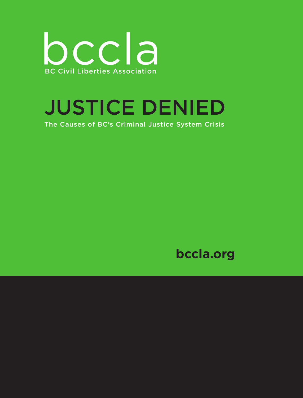

## JUSTICE DENIED

The Causes of BC's Criminal Justice System Crisis

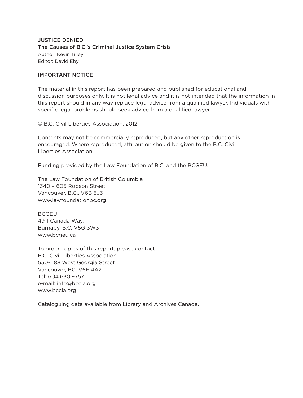JUSTICE DENIED The Causes of B.C.'s Criminal Justice System Crisis Author: Kevin Tilley Editor: David Eby

#### IMPORTANT NOTICE

The material in this report has been prepared and published for educational and discussion purposes only. It is not legal advice and it is not intended that the information in this report should in any way replace legal advice from a qualified lawyer. Individuals with specific legal problems should seek advice from a qualified lawyer.

© B.C. Civil Liberties Association, 2012

Contents may not be commercially reproduced, but any other reproduction is encouraged. Where reproduced, attribution should be given to the B.C. Civil Liberties Association.

Funding provided by the Law Foundation of B.C. and the BCGEU.

The Law Foundation of British Columbia 1340 – 605 Robson Street Vancouver, B.C., V6B 5J3 www.lawfoundationbc.org

BCGEU 4911 Canada Way, Burnaby, B.C. V5G 3W3 www.bcgeu.ca

To order copies of this report, please contact: B.C. Civil Liberties Association 550-1188 West Georgia Street Vancouver, BC, V6E 4A2 Tel: 604.630.9757 e-mail: info@bccla.org www.bccla.org

Cataloguing data available from Library and Archives Canada.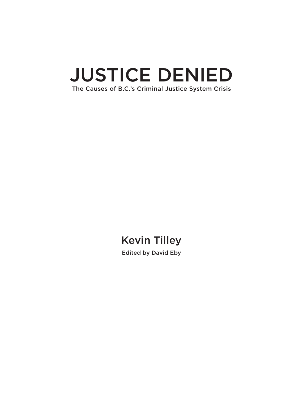

### Kevin Tilley

Edited by David Eby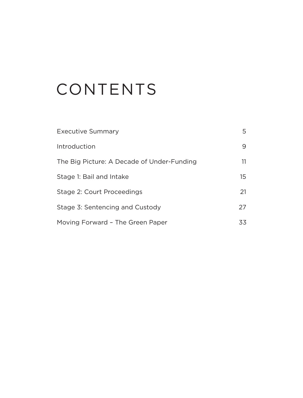### CONTENTS

| <b>Executive Summary</b>                   | 5.               |
|--------------------------------------------|------------------|
| Introduction                               | 9                |
| The Big Picture: A Decade of Under-Funding | 11               |
| Stage 1: Bail and Intake                   | 15 <sup>15</sup> |
| Stage 2: Court Proceedings                 | 21               |
| Stage 3: Sentencing and Custody            | 27               |
| Moving Forward - The Green Paper           | 33               |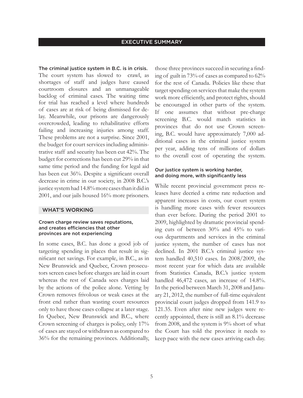The criminal justice system in B.C. is in crisis. The court system has slowed to crawl, as shortages of staff and judges have caused courtroom closures and an unmanageable backlog of criminal cases. The waiting time for trial has reached a level where hundreds of cases are at risk of being dismissed for delay. Meanwhile, our prisons are dangerously overcrowded, leading to rehabilitative efforts failing and increasing injuries among staff. These problems are not a surprise. Since 2001, the budget for court services including administrative staff and security has been cut 42%. The budget for corrections has been cut 29% in that same time period and the funding for legal aid has been cut 36%. Despite a significant overall decrease in crime in our society, in 2008 B.C.'s justice system had 14.8% more cases than it did in 2001, and our jails housed 16% more prisoners.

#### WHAT'S WORKING

#### Crown charge review saves reputations, and creates efficiencies that other provinces are not experiencing

In some cases, B.C. has done a good job of targeting spending in places that result in significant net savings. For example, in B.C., as in New Brunswick and Quebec, Crown prosecutors screen cases before charges are laid in court whereas the rest of Canada sees charges laid by the actions of the police alone. Vetting by Crown removes frivolous or weak cases at the front end rather than wasting court resources only to have those cases collapse at a later stage. In Quebec, New Brunswick and B.C., where Crown screening of charges is policy, only 17% of cases are stayed or withdrawn as compared to 36% for the remaining provinces. Additionally, those three provinces succeed in securing a finding of guilt in 73% of cases as compared to 62% for the rest of Canada. Policies like these that target spending on services that make the system work more efficiently, and protect rights, should be encouraged in other parts of the system. If one assumes that without pre-charge screening B.C. would match statistics in provinces that do not use Crown screening, B.C. would have approximately 7,000 additional cases in the criminal justice system per year, adding tens of millions of dollars to the overall cost of operating the system.

#### Our justice system is working harder, and doing more, with significantly less

While recent provincial government press releases have decried a crime rate reduction and apparent increases in costs, our court system is handling more cases with fewer resources than ever before. During the period 2001 to 2009, highlighted by dramatic provincial spending cuts of between 30% and 45% to various departments and services in the criminal justice system, the number of cases has not declined. In 2001 B.C.'s criminal justice system handled 40,510 cases. In 2008/2009, the most recent year for which data are available from Statistics Canada, B.C.'s justice system handled 46,472 cases, an increase of 14.8%. In the period between March 31, 2008 and January 21, 2012, the number of full-time equivalent provincial court judges dropped from 141.9 to 121.35. Even after nine new judges were recently appointed, there is still an 8.1% decrease from 2008, and the system is 9% short of what the Court has told the province it needs to keep pace with the new cases arriving each day.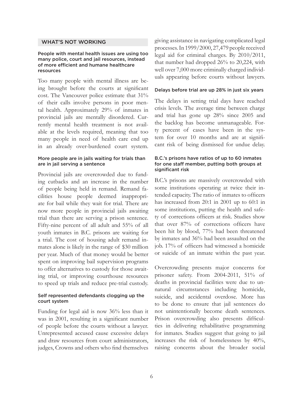#### WHAT'S NOT WORKING

#### People with mental health issues are using too many police, court and jail resources, instead of more efficient and humane healthcare resources

Too many people with mental illness are being brought before the courts at significant cost. The Vancouver police estimate that 31% of their calls involve persons in poor mental health. Approximately 29% of inmates in provincial jails are mentally disordered. Currently mental health treatment is not available at the levels required, meaning that too many people in need of health care end up in an already over-burdened court system.

#### More people are in jails waiting for trials than are in jail serving a sentence

Provincial jails are overcrowded due to funding cutbacks and an increase in the number of people being held in remand. Remand facilities house people deemed inappropriate for bail while they wait for trial. There are now more people in provincial jails awaiting trial than there are serving a prison sentence. Fifty-nine percent of all adult and 55% of all youth inmates in B.C. prisons are waiting for a trial. The cost of housing adult remand inmates alone is likely in the range of \$30 million per year. Much of that money would be better spent on improving bail supervision programs to offer alternatives to custody for those awaiting trial, or improving courthouse resources to speed up trials and reduce pre-trial custody.

#### Self represented defendants clogging up the court system

Funding for legal aid is now 36% less than it was in 2001, resulting in a significant number of people before the courts without a lawyer. Unrepresented accused cause excessive delays and draw resources from court administrators, judges, Crowns and others who find themselves giving assistance in navigating complicated legal processes. In 1999/2000, 27,479 people received legal aid for criminal charges. By 2010/2011, that number had dropped 26% to 20,224, with well over 7,000 more criminally charged individuals appearing before courts without lawyers.

#### Delays before trial are up 28% in just six years

The delays in setting trial days have reached crisis levels. The average time between charge and trial has gone up 28% since 2005 and the backlog has become unmanageable. Forty percent of cases have been in the system for over 10 months and are at significant risk of being dismissed for undue delay.

#### B.C.'s prisons have ratios of up to 60 inmates for one staff member, putting both groups at significant risk

B.C.'s prisons are massively overcrowded with some institutions operating at twice their intended capacity. The ratio of inmates to officers has increased from 20:1 in 2001 up to 60:1 in some institutions, putting the health and safety of corrections officers at risk. Studies show that over 87% of corrections officers have been hit by blood, 77% had been threatened by inmates and 36% had been assaulted on the job. 17% of officers had witnessed a homicide or suicide of an inmate within the past year.

Overcrowding presents major concerns for prisoner safety. From 2004-2011, 51% of deaths in provincial facilities were due to unnatural circumstances including homicide, suicide, and accidental overdose. More has to be done to ensure that jail sentences do not unintentionally become death sentences. Prison overcrowding also presents difficulties in delivering rehabilitative programming for inmates. Studies suggest that going to jail increases the risk of homelessness by 40%, raising concerns about the broader social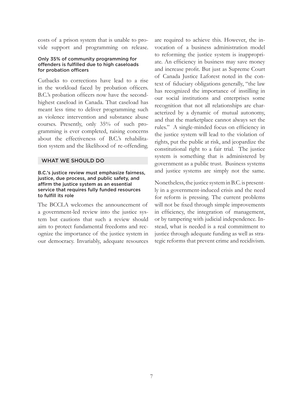costs of a prison system that is unable to provide support and programming on release.

#### Only 35% of community programming for offenders is fulfilled due to high caseloads for probation officers

Cutbacks to corrections have lead to a rise in the workload faced by probation officers. B.C.'s probation officers now have the secondhighest caseload in Canada. That caseload has meant less time to deliver programming such as violence intervention and substance abuse courses. Presently, only 35% of such programming is ever completed, raising concerns about the effectiveness of B.C.'s rehabilitation system and the likelihood of re-offending.

#### WHAT WE SHOULD DO

#### B.C.'s justice review must emphasize fairness, justice, due process, and public safety, and affirm the justice system as an essential service that requires fully funded resources to fulfill its role

The BCCLA welcomes the announcement of a government-led review into the justice system but cautions that such a review should aim to protect fundamental freedoms and recognize the importance of the justice system in our democracy. Invariably, adequate resources are required to achieve this. However, the invocation of a business administration model to reforming the justice system is inappropriate. An efficiency in business may save money and increase profit. But just as Supreme Court of Canada Justice Laforest noted in the context of fiduciary obligations generally, "the law has recognized the importance of instilling in our social institutions and enterprises some recognition that not all relationships are characterized by a dynamic of mutual autonomy, and that the marketplace cannot always set the rules." A single-minded focus on efficiency in the justice system will lead to the violation of rights, put the public at risk, and jeopardize the constitutional right to a fair trial. The justice system is something that is administered by government as a public trust. Business systems and justice systems are simply not the same.

Nonetheless, the justice system in B.C. is presently in a government-induced crisis and the need for reform is pressing. The current problems will not be fixed through simple improvements in efficiency, the integration of management, or by tampering with judicial independence. Instead, what is needed is a real commitment to justice through adequate funding as well as strategic reforms that prevent crime and recidivism.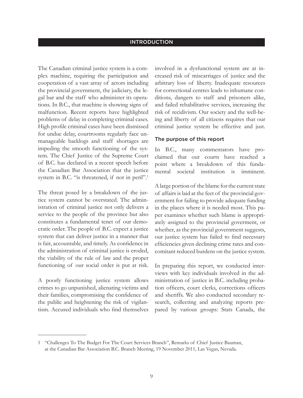#### **INTRODUCTION**

The Canadian criminal justice system is a complex machine, requiring the participation and cooperation of a vast array of actors including the provincial government, the judiciary, the legal bar and the staff who administer its operations. In B.C., that machine is showing signs of malfunction. Recent reports have highlighted problems of delay in completing criminal cases. High profile criminal cases have been dismissed for undue delay, courtrooms regularly face unmanageable backlogs and staff shortages are impeding the smooth functioning of the system. The Chief Justice of the Supreme Court of B.C. has declared in a recent speech before the Canadian Bar Association that the justice system in B.C. "is threatened, if not in peril".<sup>1</sup>

The threat posed by a breakdown of the justice system cannot be overstated. The administration of criminal justice not only delivers a service to the people of the province but also constitutes a fundamental tenet of our democratic order. The people of B.C. expect a justice system that can deliver justice in a manner that is fair, accountable, and timely. As confidence in the administration of criminal justice is eroded, the viability of the rule of law and the proper functioning of our social order is put at risk.

A poorly functioning justice system allows crimes to go unpunished, alienating victims and their families, compromising the confidence of the public and heightening the risk of vigilantism. Accused individuals who find themselves involved in a dysfunctional system are at increased risk of miscarriages of justice and the arbitrary loss of liberty. Inadequate resources for correctional centres leads to inhumane conditions, dangers to staff and prisoners alike, and failed rehabilitative services, increasing the risk of recidivism. Our society and the well-being and liberty of all citizens requires that our criminal justice system be effective and just.

#### The purpose of this report

In B.C., many commentators have proclaimed that our courts have reached a point where a breakdown of this fundamental societal institution is imminent.

A large portion of the blame for the current state of affairs is laid at the feet of the provincial government for failing to provide adequate funding in the places where it is needed most. This paper examines whether such blame is appropriately assigned to the provincial goverment, or whether, as the provincial government suggests, our justice system has failed to find necessary efficiencies given declining crime rates and concomitant reduced burdens on the justice system.

In preparing this report, we conducted interviews with key individuals involved in the administration of justice in B.C. including probation officers, court clerks, corrections officers and sheriffs. We also conducted secondary research, collecting and analyzing reports prepared by various groups: Stats Canada, the

<sup>1</sup> "Challenges To The Budget For The Court Services Branch", Remarks of Chief Justice Bauman, at the Canadian Bar Association B.C. Branch Meeting, 19 November 2011, Las Vegas, Nevada.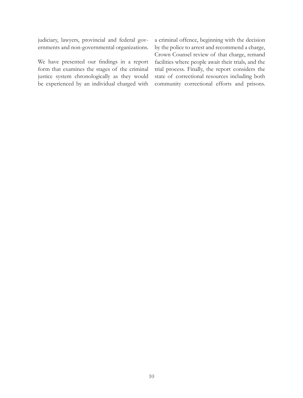judiciary, lawyers, provincial and federal governments and non-governmental organizations.

We have presented our findings in a report form that examines the stages of the criminal justice system chronologically as they would be experienced by an individual charged with

a criminal offence, beginning with the decision by the police to arrest and recommend a charge, Crown Counsel review of that charge, remand facilities where people await their trials, and the trial process. Finally, the report considers the state of correctional resources including both community correctional efforts and prisons.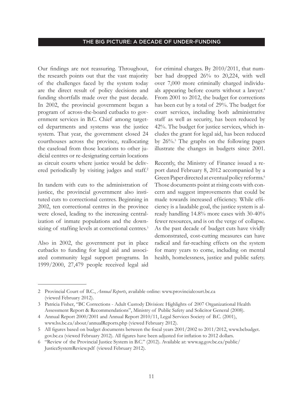#### THE BIG PICTURE: A DECADE OF UNDER-FUNDING

Our findings are not reassuring. Throughout, the research points out that the vast majority of the challenges faced by the system today are the direct result of policy decisions and funding shortfalls made over the past decade. In 2002, the provincial government began a program of across-the-board cutbacks to government services in B.C. Chief among targeted departments and systems was the justice system. That year, the government closed 24 courthouses across the province, reallocating the caseload from those locations to other judicial centres or re-designating certain locations as circuit courts where justice would be delivered periodically by visiting judges and staff.<sup>2</sup>

In tandem with cuts to the administration of justice, the provincial government also instituted cuts to correctional centres. Beginning in 2002, ten correctional centres in the province were closed, leading to the increasing centralization of inmate populations and the downsizing of staffing levels at correctional centres.<sup>3</sup>

Also in 2002, the government put in place cutbacks to funding for legal aid and associated community legal support programs. In 1999/2000, 27,479 people received legal aid for criminal charges. By 2010/2011, that number had dropped 26% to 20,224, with well over 7,000 more criminally charged individuals appearing before courts without a lawyer.<sup>4</sup> From 2001 to 2012, the budget for corrections has been cut by a total of 29%. The budget for court services, including both administrative staff as well as security, has been reduced by 42%. The budget for justice services, which includes the grant for legal aid, has been reduced by 26%.<sup>5</sup> The graphs on the following pages illustrate the changes in budgets since 2001.

Recently, the Ministry of Finance issued a report dated February 8, 2012 accompanied by a Green Paper directed at eventual policy reforms.6 Those documents point at rising costs with concern and suggest improvements that could be made towards increased efficiency. While efficiency is a laudable goal, the justice system is already handling 14.8% more cases with 30-40% fewer resources, and is on the verge of collapse. As the past decade of budget cuts have vividly demonstrated, cost-cutting measures can have radical and far-reaching effects on the system for many years to come, including on mental health, homelessness, justice and public safety.

<sup>2</sup> Provincial Court of B.C., *Annual Reports*, available online: www.provincialcourt.bc.ca (viewed February 2012).

<sup>3</sup> Patricia Fisher, "BC Corrections - Adult Custody Division: Highlights of 2007 Organizational Health Assessment Report & Recommendations", Ministry of Public Safety and Solicitor General (2008).

<sup>4</sup> Annual Report 2000/2001 and Annual Report 2010/11, Legal Services Society of B.C. (2001), www.lss.bc.ca/about/annualReports.php (viewed February 2012).

<sup>5</sup> All figures based on budget documents between the fiscal years 2001/2002 to 2011/2012, www.bcbudget. gov.bc.ca (viewed February 2012). All figures have been adjusted for inflation to 2012 dollars.

<sup>6</sup> "Review of the Provincial Justice System in B.C." (2012). Available at: www.ag.gov.bc.ca/public/ JusticeSystemReview.pdf (viewed February 2012).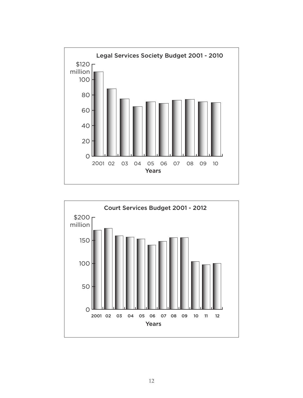

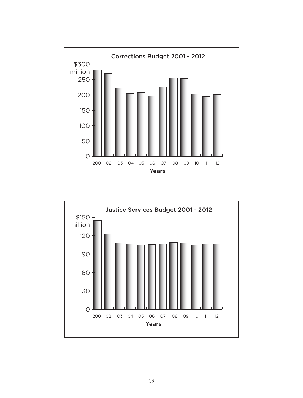

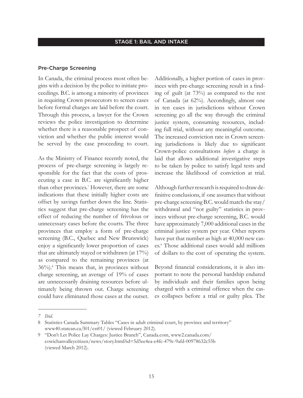#### STAGE 1: BAIL AND INTAKE

#### Pre-Charge Screening

In Canada, the criminal process most often begins with a decision by the police to initiate proceedings. B.C. is among a minority of provinces in requiring Crown prosecutors to screen cases before formal charges are laid before the court. Through this process, a lawyer for the Crown reviews the police investigation to determine whether there is a reasonable prospect of conviction and whether the public interest would be served by the case proceeding to court.

As the Ministry of Finance recently noted, the process of pre-charge screening is largely responsible for the fact that the costs of prosecuting a case in B.C. are significantly higher than other provinces.7 However, there are some indications that these initially higher costs are offset by savings further down the line. Statistics suggest that pre-charge screening has the effect of reducing the number of frivolous or unnecessary cases before the courts. The three provinces that employ a form of pre-charge screening (B.C., Quebec and New Brunswick) enjoy a significantly lower proportion of cases that are ultimately stayed or withdrawn (at 17%) as compared to the remaining provinces (at 36%).<sup>8</sup> This means that, in provinces without charge screening, an average of 19% of cases are unnecessarily draining resources before ultimately being thrown out. Charge screening could have eliminated those cases at the outset.

Additionally, a higher portion of cases in provinces with pre-charge screening result in a finding of guilt (at 73%) as compared to the rest of Canada (at 62%). Accordingly, almost one in ten cases in jurisdictions without Crown screening go all the way through the criminal justice system, consuming resources, including full trial, without any meaningful outcome. The increased conviction rate in Crown screening jurisdictions is likely due to significant Crown-police consultations *before* a charge is laid that allows additional investigative steps to be taken by police to satisfy legal tests and increase the likelihood of conviction at trial.

Although further research is required to draw definitive conclusions, if one assumes that without pre-charge screening B.C. would match the stay/ withdrawal and "not guilty" statistics in provinces without pre-charge screening, B.C. would have approximately 7,000 additional cases in the criminal justice system per year. Other reports have put that number as high at 40,000 new cases.9 Those additional cases would add millions of dollars to the cost of operating the system.

Beyond financial considerations, it is also important to note the personal hardship endured by individuals and their families upon being charged with a criminal offence when the cases collapses before a trial or guilty plea. The

*<sup>7</sup> Ibid.*

<sup>8</sup> Statistics Canada Summary Tables "Cases in adult criminal court, by province and territory" www40.statcan.ca/l01/cst01/ (viewed February 2012).

<sup>9</sup> "Don't Let Police Lay Charges: Justice Branch", Canada.com, www2.canada.com/ cowichanvalleycitizen/news/story.html?id=5d5ee4ea-e4fc-479c-9afd-00978632c55b (viewed March 2012).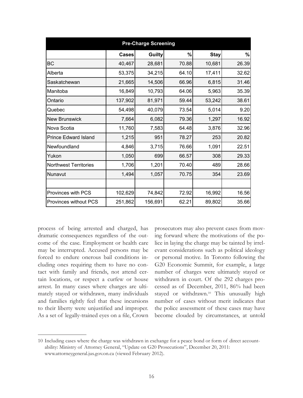| <b>Pre-Charge Screening</b>  |              |               |       |             |       |  |  |
|------------------------------|--------------|---------------|-------|-------------|-------|--|--|
|                              | <b>Cases</b> | <b>Guilty</b> | %     | <b>Stay</b> | %     |  |  |
| <b>BC</b>                    | 40,467       | 28,681        | 70.88 | 10,681      | 26.39 |  |  |
| Alberta                      | 53,375       | 34,215        | 64.10 | 17,411      | 32.62 |  |  |
| Saskatchewan                 | 21,665       | 14,506        | 66.96 | 6,815       | 31.46 |  |  |
| Manitoba                     | 16,849       | 10,793        | 64.06 | 5,963       | 35.39 |  |  |
| Ontario                      | 137,902      | 81,971        | 59.44 | 53,242      | 38.61 |  |  |
| Quebec                       | 54,498       | 40,079        | 73.54 | 5,014       | 9.20  |  |  |
| <b>New Brunswick</b>         | 7,664        | 6,082         | 79.36 | 1,297       | 16.92 |  |  |
| Nova Scotia                  | 11,760       | 7,583         | 64.48 | 3,876       | 32.96 |  |  |
| <b>Prince Edward Island</b>  | 1,215        | 951           | 78.27 | 253         | 20.82 |  |  |
| Newfoundland                 | 4,846        | 3,715         | 76.66 | 1,091       | 22.51 |  |  |
| Yukon                        | 1,050        | 699           | 66.57 | 308         | 29.33 |  |  |
| <b>Northwest Territories</b> | 1,706        | 1,201         | 70.40 | 489         | 28.66 |  |  |
| Nunavut                      | 1,494        | 1,057         | 70.75 | 354         | 23.69 |  |  |
|                              |              |               |       |             |       |  |  |
| Provinces with PCS           | 102,629      | 74,842        | 72.92 | 16,992      | 16.56 |  |  |
| <b>Provinces without PCS</b> | 251,862      | 156,691       | 62.21 | 89,802      | 35.66 |  |  |

process of being arrested and charged, has dramatic consequences regardless of the outcome of the case. Employment or health care may be interrupted. Accused persons may be forced to endure onerous bail conditions including ones requiring them to have no contact with family and friends, not attend certain locations, or respect a curfew or house arrest. In many cases where charges are ultimately stayed or withdrawn, many individuals and families rightly feel that these incursions to their liberty were unjustified and improper. As a set of legally-trained eyes on a file, Crown prosecutors may also prevent cases from moving forward where the motivations of the police in laying the charge may be tainted by irrelevant considerations such as political ideology or personal motive. In Toronto following the G20 Economic Summit, for example, a large number of charges were ultimately stayed or withdrawn in court. Of the 292 charges processed as of December, 2011, 86% had been stayed or withdrawn.<sup>10</sup> This unusually high number of cases without merit indicates that the police assessment of these cases may have become clouded by circumstances, at untold

<sup>10</sup> Including cases where the charge was withdrawn in exchange for a peace bond or form of direct accountability: Ministry of Attorney General, "Update on G20 Prosecutions", December 20, 2011: www.attorneygeneral.jus.gov.on.ca (viewed February 2012).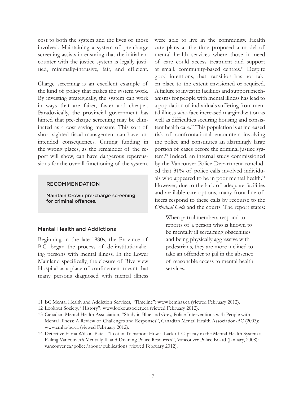cost to both the system and the lives of those involved. Maintaining a system of pre-charge screening assists in ensuring that the initial encounter with the justice system is legally justified, minimally-intrusive, fair, and efficient.

Charge screening is an excellent example of the kind of policy that makes the system work. By investing strategically, the system can work in ways that are fairer, faster and cheaper. Paradoxically, the provincial government has hinted that pre-charge screening may be eliminated as a cost saving measure. This sort of short-sighted fiscal management can have unintended consequences. Cutting funding in the wrong places, as the remainder of the report will show, can have dangerous repercussions for the overall functioning of the system.

#### RECOMMENDATION

Maintain Crown pre-charge screening for criminal offences.

#### Mental Health and Addictions

Beginning in the late-1980s, the Province of B.C. began the process of de-institutionalizing persons with mental illness. In the Lower Mainland specifically, the closure of Riverview Hospital as a place of confinement meant that many persons diagnosed with mental illness

were able to live in the community. Health care plans at the time proposed a model of mental health services where those in need of care could access treatment and support at small, community-based centres.<sup>11</sup> Despite good intentions, that transition has not taken place to the extent envisioned or required. A failure to invest in facilities and support mechanisms for people with mental illness has lead to a population of individuals suffering from mental illness who face increased marginalization as well as difficulties securing housing and consistent health care.12 This population is at increased risk of confrontational encounters involving the police and constitutes an alarmingly large portion of cases before the criminal justice system.13 Indeed, an internal study commissioned by the Vancouver Police Department concluded that 31% of police calls involved individuals who appeared to be in poor mental health.14 However, due to the lack of adequate facilities and available care options, many front line officers respond to these calls by recourse to the *Criminal Code* and the courts. The report states:

When patrol members respond to reports of a person who is known to be mentally ill screaming obscenities and being physically aggressive with pedestrians, they are more inclined to take an offender to jail in the absence of reasonable access to mental health services.

<sup>11</sup> BC Mental Health and Addiction Services, "Timeline": www.bcmhas.ca (viewed February 2012).

<sup>12</sup> Lookout Society, "History": www.lookoutsociety.ca (viewed February 2012).

<sup>13</sup> Canadian Mental Health Association, "Study in Blue and Grey, Police Interventions with People with Mental Illness: A Review of Challenges and Responses", Canadian Mental Health Association-BC (2003): www.cmha-bc.ca (viewed February 2012).

<sup>14</sup> Detective Fiona Wilson-Bates, "Lost in Transition: How a Lack of Capacity in the Mental Health System is Failing Vancouver's Mentally Ill and Draining Police Resources", Vancouver Police Board (January, 2008): vancouver.ca/police/about/publications (viewed February 2012).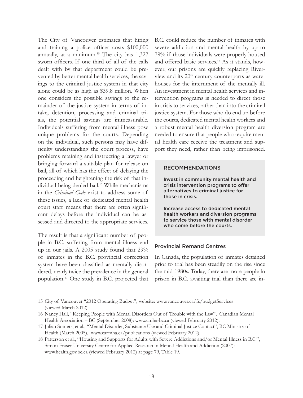The City of Vancouver estimates that hiring and training a police officer costs \$100,000 annually, at a minimum.15 The city has 1,327 sworn officers. If one third of all of the calls dealt with by that department could be prevented by better mental health services, the savings to the criminal justice system in that city alone could be as high as \$39.8 million. When one considers the possible savings to the remainder of the justice system in terms of intake, detention, processing and criminal trials, the potential savings are immeasurable. Individuals suffering from mental illness pose unique problems for the courts. Depending on the individual, such persons may have difficulty understanding the court process, have problems retaining and instructing a lawyer or bringing forward a suitable plan for release on bail, all of which has the effect of delaying the proceeding and heightening the risk of that individual being denied bail.16 While mechanisms in the *Criminal Code* exist to address some of these issues, a lack of dedicated mental health court staff means that there are often significant delays before the individual can be assessed and directed to the appropriate services.

The result is that a significant number of people in B.C. suffering from mental illness end up in our jails. A 2005 study found that 29% of inmates in the B.C. provincial correction system have been classified as mentally disordered, nearly twice the prevalence in the general population.17 One study in B.C. projected that B.C. could reduce the number of inmates with severe addiction and mental health by up to 79% if those individuals were properly housed and offered basic services.18 As it stands, however, our prisons are quickly replacing Riverview and its  $20<sup>th</sup>$  century counterparts as warehouses for the internment of the mentally ill. An investment in mental health services and intervention programs is needed to direct those in crisis to services, rather than into the criminal justice system. For those who do end up before the courts, dedicated mental health workers and a robust mental health diversion program are needed to ensure that people who require mental health care receive the treatment and support they need, rather than being imprisoned.

#### RECOMMENDATIONS

Invest in community mental health and crisis intervention programs to offer alternatives to criminal justice for those in crisis.

Increase access to dedicated mental health workers and diversion programs to service those with mental disorder who come before the courts.

#### Provincial Remand Centres

In Canada, the population of inmates detained prior to trial has been steadily on the rise since the mid-1980s. Today, there are more people in prison in B.C. awaiting trial than there are in-

<sup>15</sup> City of Vancouver "2012 Operating Budget", website: www.vancouver.ca/fs/budgetServices (viewed March 2012).

<sup>16</sup> Nancy Hall, "Keeping People with Mental Disorders Out of Trouble with the Law", Canadian Mental Health Association – BC (September 2008): www.cmha-bc.ca (viewed February 2012).

<sup>17</sup> Julian Somers, et al., "Mental Disorder, Substance Use and Criminal Justice Contact", BC Ministry of Health (March 2005), www.carmha.ca/publications (viewed February 2012).

<sup>18</sup> Patterson et al., "Housing and Supports for Adults with Severe Addictions and/or Mental Illness in B.C.", Simon Fraser University Centre for Applied Research in Mental Health and Addiction (2007): www.health.gov.bc.ca (viewed February 2012) at page 79, Table 19.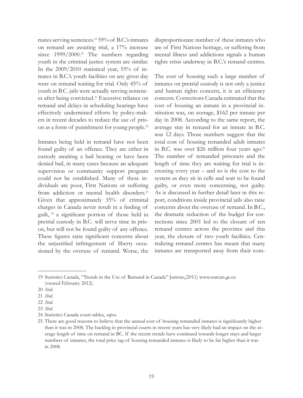mates serving sentences.19 59% of B.C.'s inmates on remand are awaiting trial, a 17% increase since 1999/2000.<sup>20</sup> The numbers regarding youth in the criminal justice system are similar. In the 2009/2010 statistical year, 55% of inmates in B.C.'s youth facilities on any given day were on remand waiting for trial. Only 45% of youth in B.C. jails were actually serving sentences after being convicted.21 Excessive reliance on remand and delays in scheduling hearings have effectively undermined efforts by policy-makers in recent decades to reduce the use of prison as a form of punishment for young people.22

Inmates being held in remand have not been found guilty of an offence. They are either in custody awaiting a bail hearing or have been denied bail, in many cases because an adequate supervision or community support program could not be established. Many of these individuals are poor, First Nations or suffering from addiction or mental health disorders.<sup>23</sup> Given that approximately 35% of criminal charges in Canada never result in a finding of guilt, <sup>24</sup> a significant portion of those held in pretrial custody in B.C. will serve time in prison, but will not be found guilty of any offence. These figures raise significant concerns about the unjustified infringement of liberty occasioned by the overuse of remand. Worse, the

disproportionate number of these inmates who are of First Nations heritage, or suffering from mental illness and addictions signals a human rights crisis underway in B.C.'s remand centres.

The cost of housing such a large number of inmates on pretrial custody is not only a justice and human rights concern, it is an efficiency concern. Corrections Canada estimated that the cost of housing an inmate in a provincial institution was, on average, \$162 per inmate per day in 2008. According to the same report, the average stay in remand for an inmate in B.C. was 12 days. Those numbers suggest that the total cost of housing remanded adult inmates in B.C. was over \$26 million four years ago.25 The number of remanded prisoners and the length of time they are waiting for trial is increasing every year – and so is the cost to the system as they sit in cells and wait to be found guilty, or even more concerning, not guilty. As is discussed in further detail later in this report, conditions inside provincial jails also raise concerns about the overuse of remand. In B.C., the dramatic reduction of the budget for corrections since 2001 led to the closure of ten remand centres across the province and this year, the closure of two youth facilities. Centralizing remand centres has meant that many inmates are transported away from their com-

<sup>19</sup> Statistics Canada, "Trends in the Use of Remand in Canada" Juristat,(2011) www.statcan.gc.ca (viewed February 2012).

<sup>20</sup> *Ibid.*

<sup>21</sup> *Ibid.*

<sup>22</sup> *Ibid.*

<sup>23</sup> *Ibid.*

<sup>24</sup> Statistics Canada court tables, *supra*.

<sup>25</sup> There are good reasons to believe that the annual cost of housing remanded inmates is significantly higher than it was in 2008. The backlog in provincial courts in recent years has very likely had an impact on the average length of time on remand in BC. If the recent trends have continued towards longer stays and larger numbers of inmates, the total price tag of housing remanded inmates is likely to be far higher than it was in 2008.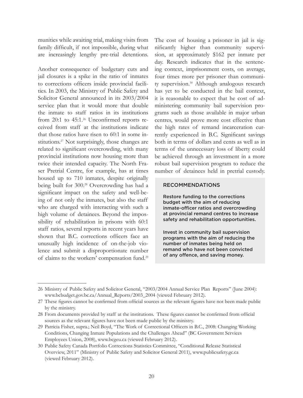munities while awaiting trial, making visits from family difficult, if not impossible, during what are increasingly lengthy pre-trial detentions.

Another consequence of budgetary cuts and jail closures is a spike in the ratio of inmates to corrections officers inside provincial facilities. In 2003, the Ministry of Public Safety and Solicitor General announced in its 2003/2004 service plan that it would more that double the inmate to staff ratios in its institutions from 20:1 to 45:1.<sup>26</sup> Unconfirmed reports received from staff at the institutions indicate that those ratios have risen to 60:1 in some institutions.27 Not surprisingly, those changes are related to significant overcrowding, with many provincial institutions now housing more than twice their intended capacity. The North Fraser Pretrial Centre, for example, has at times housed up to 710 inmates, despite originally being built for 300.<sup>28</sup> Overcrowding has had a significant impact on the safety and well-being of not only the inmates, but also the staff who are charged with interacting with such a high volume of detainees. Beyond the impossibility of rehabilitation in prisons with 60:1 staff ratios, several reports in recent years have shown that B.C. corrections officers face an unusually high incidence of on-the-job violence and submit a disproportionate number of claims to the workers' compensation fund.29 The cost of housing a prisoner in jail is significantly higher than community supervision, at approximately \$162 per inmate per day. Research indicates that in the sentencing context, imprisonment costs, on average, four times more per prisoner than community supervision.30 Although analogous research has yet to be conducted in the bail context, it is reasonable to expect that he cost of administering community bail supervision programs such as those available in major urban centres, would prove more cost effective than the high rates of remand incarceration currently experienced in B.C. Significant savings both in terms of dollars and cents as well as in terms of the unnecessary loss of liberty could be achieved through an investment in a more robust bail supervision program to reduce the number of detainees held in pretrial custody.

#### RECOMMENDATIONS

Restore funding to the corrections budget with the aim of reducing inmate-officer ratios and overcrowding at provincial remand centres to increase safety and rehabilitation opportunities.

Invest in community bail supervision programs with the aim of reducing the number of inmates being held on remand who have not been convicted of any offence, and saving money.

<sup>26</sup> Ministry of Public Safety and Solicitor General, "2003/2004 Annual Service Plan Reports" (June 2004): www.bcbudget.gov.bc.ca/Annual\_Reports/2003\_2004 (viewed February 2012).

<sup>27</sup> These figures cannot be confirmed from official sources as the relevant figures have not been made public by the ministry.

<sup>28</sup> From documents provided by staff at the institutions. These figures cannot be confirmed from official sources as the relevant figures have not been made public by the ministry.

<sup>29</sup> Patricia Fisher, supra.; Neil Boyd, "The Work of Correctional Officers in B.C., 2008: Changing Working Conditions, Changing Inmate Populations and the Challenges Ahead" (BC Government Services Employees Union, 2008), www.bcgeu.ca (viewed February 2012).

<sup>30</sup> Public Safety Canada Portfolio Corrections Statistics Committee, "Conditional Release Statistical Overview, 2011" (Ministry of Public Safety and Solicitor General 2011), www.publicsafety.gc.ca (viewed February 2012).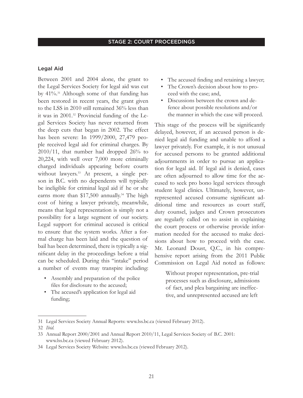#### STAGE 2: COURT PROCEEDINGS

#### Legal Aid

Between 2001 and 2004 alone, the grant to the Legal Services Society for legal aid was cut by 41%.31 Although some of that funding has been restored in recent years, the grant given to the LSS in 2010 still remained 36% less than it was in 2001.32 Provincial funding of the Legal Services Society has never returned from the deep cuts that began in 2002. The effect has been severe: In 1999/2000, 27,479 people received legal aid for criminal charges. By 2010/11, that number had dropped 26% to 20,224, with well over 7,000 more criminally charged individuals appearing before courts without lawyers.<sup>33</sup> At present, a single person in B.C. with no dependents will typically be ineligible for criminal legal aid if he or she earns more than \$17,500 annually.<sup>34</sup> The high cost of hiring a lawyer privately, meanwhile, means that legal representation is simply not a possibility for a large segment of our society. Legal support for criminal accused is critical to ensure that the system works. After a formal charge has been laid and the question of bail has been determined, there is typically a significant delay in the proceedings before a trial can be scheduled. During this "intake" period a number of events may transpire including:

- Assembly and preparation of the police files for disclosure to the accused;
- The accused's application for legal aid funding;
- The accused finding and retaining a lawyer;
- The Crown's decision about how to proceed with the case; and,
- Discussions between the crown and defence about possible resolutions and/or the manner in which the case will proceed.

This stage of the process will be significantly delayed, however, if an accused person is denied legal aid funding and unable to afford a lawyer privately. For example, it is not unusual for accused persons to be granted additional adjournments in order to pursue an application for legal aid. If legal aid is denied, cases are often adjourned to allow time for the accused to seek pro bono legal services through student legal clinics. Ultimately, however, unrepresented accused consume significant additional time and resources as court staff, duty counsel, judges and Crown prosecutors are regularly called on to assist in explaining the court process or otherwise provide information needed for the accused to make decisions about how to proceed with the case. Mr. Leonard Doust, Q.C., in his comprehensive report arising from the 2011 Public Commission on Legal Aid noted as follows:

Without proper representation, pre-trial processes such as disclosure, admissions of fact, and plea bargaining are ineffective, and unrepresented accused are left

<sup>31</sup> Legal Services Society Annual Reports: www.lss.bc.ca (viewed February 2012).

<sup>32</sup> *Ibid.*

<sup>33</sup> Annual Report 2000/2001 and Annual Report 2010/11, Legal Services Society of B.C. 2001: www.lss.bc.ca (viewed February 2012).

<sup>34</sup> Legal Services Society Website: www.lss.bc.ca (viewed February 2012).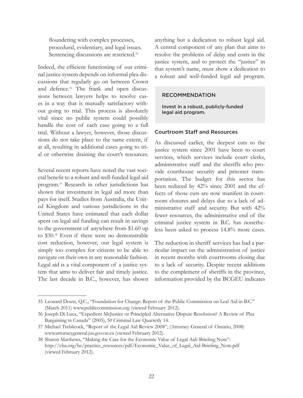floundering with complex processes, procedural, evidentiary, and legal issues. Sentencing discussions are restricted.<sup>35</sup>

Indeed, the efficient functioning of our criminal justice system depends on informal plea discussions that regularly go on between Crown and defence.36 The frank and open discussions between lawyers helps to resolve cases in a way that is mutually satisfactory without going to trial. This process is absolutely vital since no public system could possibly handle the cost of each case going to a full trial. Without a lawyer, however, those discussions do not take place to the same extent, if at all, resulting in additional cases going to trial or otherwise draining the court's resources.

Several recent reports have noted the vast societal benefit to a robust and well-funded legal aid program.37 Research in other jurisdictions has shown that investment in legal aid more than pays for itself. Studies from Australia, the United Kingdom and various jurisdictions in the United States have estimated that each dollar spent on legal aid funding can result in savings to the government of anywhere from \$1.60 up to \$30.38 Even if there were no demonstrable cost reduction, however, our legal system is simply too complex for citizens to be able to navigate on their own in any reasonable fashion. Legal aid is a vital component of a justice system that aims to deliver fair and timely justice. The last decade in B.C., however, has shown anything but a dedication to robust legal aid. A central component of any plan that aims to resolve the problems of delay and costs in the justice system, and to protect the "justice" in that system's name, must show a dedication to a robust and well-funded legal aid program.

#### RECOMMENDATION

Invest in a robust, publicly-funded legal aid program.

#### Courtroom Staff and Resources

As discussed earlier, the deepest cuts to the justice system since 2001 have been to court services, which services include court clerks, administrative staff and the sheriffs who provide courthouse security and prisoner transportation. The budget for this sector has been reduced by 42% since 2001 and the effects of those cuts are now manifest in courtroom closures and delays due to a lack of administrative staff and security. But with 42% fewer resources, the administrative end of the criminal justice system in B.C. has nonetheless been asked to process 14.8% more cases.

The reduction in sheriff services has had a particular impact on the administration of justice in recent months with courtrooms closing due to a lack of security. Despite recent additions to the complement of sheriffs in the province, information provided by the BCGEU indicates

<sup>35</sup> Leonard Doust, Q.C., "Foundation for Change: Report of the Public Commission on Leal Aid in B.C." (March 2011) www.publiccommission.org (viewed February 2012).

<sup>36</sup> Joseph Di Luca, "Expedient McJustice or Principled Alternative Dispute Resolution? A Review of Plea Bargaining in Canada" (2005), 50 Criminal Law Quarterly 14.

<sup>37</sup> Michael Treblicock, "Report of the Legal Aid Review 2008", (Attorney General of Ontario, 2008) www.attorneygeneral.jus.gov.on.ca (viewed February 2012).

<sup>38</sup> Sharon Matthews, "Making the Case for the Economic Value of Legal Aid: Briefing Note": http://cba.org/bc/practice\_resources/pdf/Economic\_Value\_of\_Legal\_Aid-Briefing\_Note.pdf (viewed February 2012).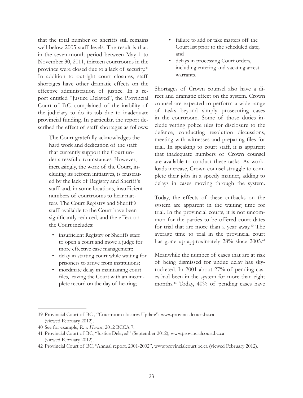that the total number of sheriffs still remains well below 2005 staff levels. The result is that, in the seven-month period between May 1 to November 30, 2011, thirteen courtrooms in the province were closed due to a lack of security.39 In addition to outright court closures, staff shortages have other dramatic effects on the effective administration of justice. In a report entitled "Justice Delayed", the Provincial Court of B.C. complained of the inability of the judiciary to do its job due to inadequate provincial funding. In particular, the report described the effect of staff shortages as follows:

The Court gratefully acknowledges the hard work and dedication of the staff that currently support the Court under stressful circumstances. However, increasingly, the work of the Court, including its reform initiatives, is frustrated by the lack of Registry and Sheriff 's staff and, in some locations, insufficient numbers of courtrooms to hear matters. The Court Registry and Sheriff 's staff available to the Court have been significantly reduced, and the effect on the Court includes:

- insufficient Registry or Sheriffs staff to open a court and move a judge for more effective case management;
- delay in starting court while waiting for prisoners to arrive from institutions;
- inordinate delay in maintaining court files, leaving the Court with an incomplete record on the day of hearing;
- failure to add or take matters off the Court list prior to the scheduled date; and
- delays in processing Court orders, including entering and vacating arrest warrants.

Shortages of Crown counsel also have a direct and dramatic effect on the system. Crown counsel are expected to perform a wide range of tasks beyond simply prosecuting cases in the courtroom. Some of those duties include vetting police files for disclosure to the defence, conducting resolution discussions, meeting with witnesses and preparing files for trial. In speaking to court staff, it is apparent that inadequate numbers of Crown counsel are available to conduct these tasks. As workloads increase, Crown counsel struggle to complete their jobs in a speedy manner, adding to delays in cases moving through the system.

Today, the effects of these cutbacks on the system are apparent in the waiting time for trial. In the provincial courts, it is not uncommon for the parties to be offered court dates for trial that are more than a year away.40 The average time to trial in the provincial court has gone up approximately 28% since 2005.<sup>41</sup>

Meanwhile the number of cases that are at risk of being dismissed for undue delay has skyrocketed. In 2001 about 27% of pending cases had been in the system for more than eight months.42 Today, 40% of pending cases have

<sup>39</sup> Provincial Court of BC , "Courtroom closures Update": www.provincialcourt.bc.ca (viewed February 2012).

<sup>40</sup> See for example, *R. v. Horner*, 2012 BCCA 7.

<sup>41</sup> Provincial Court of BC, "Justice Delayed" (September 2012), www.provincialcourt.bc.ca (viewed February 2012).

<sup>42</sup> Provincial Court of BC, "Annual report, 2001-2002", www.provincialcourt.bc.ca (viewed February 2012).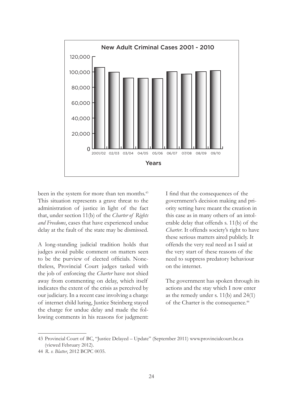

been in the system for more than ten months.<sup>43</sup> This situation represents a grave threat to the administration of justice in light of the fact that, under section 11(b) of the *Charter of Rights and Freedoms*, cases that have experienced undue delay at the fault of the state may be dismissed.

A long-standing judicial tradition holds that judges avoid public comment on matters seen to be the purview of elected officials. Nonetheless, Provincial Court judges tasked with the job of enforcing the *Charter* have not shied away from commenting on delay, which itself indicates the extent of the crisis as perceived by our judiciary. In a recent case involving a charge of internet child luring, Justice Steinberg stayed the charge for undue delay and made the following comments in his reasons for judgment:

I find that the consequences of the government's decision making and priority setting have meant the creation in this case as in many others of an intolerable delay that offends s. 11(b) of the *Charter*. It offends society's right to have these serious matters aired publicly. It offends the very real need as I said at the very start of these reasons of the need to suppress predatory behaviour on the internet.

The government has spoken through its actions and the stay which I now enter as the remedy under s. 11(b) and 24(1) of the Charter is the consequence.<sup>44</sup>

<sup>43</sup> Provincial Court of BC, "Justice Delayed – Update" (September 2011) www.provincialcourt.bc.ca (viewed February 2012).

<sup>44</sup> *R. v. Blatter*, 2012 BCPC 0035.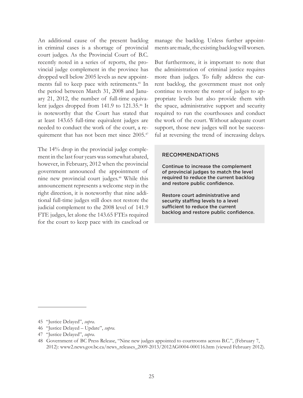An additional cause of the present backlog in criminal cases is a shortage of provincial court judges. As the Provincial Court of B.C. recently noted in a series of reports, the provincial judge complement in the province has dropped well below 2005 levels as new appointments fail to keep pace with retirements.45 In the period between March 31, 2008 and January 21, 2012, the number of full-time equivalent judges dropped from 141.9 to 121.35.46 It is noteworthy that the Court has stated that at least 143.65 full-time equivalent judges are needed to conduct the work of the court, a requirement that has not been met since 2005.47

The 14% drop in the provincial judge complement in the last four years was somewhat abated, however, in February, 2012 when the provincial government announced the appointment of nine new provincial court judges.48 While this announcement represents a welcome step in the right direction, it is noteworthy that nine additional full-time judges still does not restore the judicial complement to the 2008 level of 141.9 FTE judges, let alone the 143.65 FTEs required for the court to keep pace with its caseload or manage the backlog. Unless further appointments are made, the existing backlog will worsen.

But furthermore, it is important to note that the administration of criminal justice requires more than judges. To fully address the current backlog, the government must not only continue to restore the roster of judges to appropriate levels but also provide them with the space, administrative support and security required to run the courthouses and conduct the work of the court. Without adequate court support, those new judges will not be successful at reversing the trend of increasing delays.

#### RECOMMENDATIONS

Continue to increase the complement of provincial judges to match the level required to reduce the current backlog and restore public confidence.

Restore court administrative and security staffing levels to a level sufficient to reduce the current backlog and restore public confidence.

<sup>45</sup> "Justice Delayed", *supra*.

<sup>46</sup> "Justice Delayed – Update", *supra*.

<sup>47</sup> "Justice Delayed", *supra*.

<sup>48</sup> Government of BC Press Release, "Nine new judges appointed to courtrooms across B.C.", (February 7, 2012): www2.news.gov.bc.ca/news\_releases\_2009-2013/2012AG0004-000116.htm (viewed February 2012).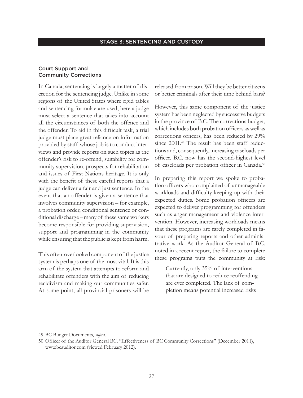#### STAGE 3: SENTENCING AND CUSTODY

#### Court Support and Community Corrections

In Canada, sentencing is largely a matter of discretion for the sentencing judge. Unlike in some regions of the United States where rigid tables and sentencing formulae are used, here a judge must select a sentence that takes into account all the circumstances of both the offence and the offender. To aid in this difficult task, a trial judge must place great reliance on information provided by staff whose job is to conduct interviews and provide reports on such topics as the offender's risk to re-offend, suitability for community supervision, prospects for rehabilitation and issues of First Nations heritage. It is only with the benefit of these careful reports that a judge can deliver a fair and just sentence. In the event that an offender is given a sentence that involves community supervision – for example, a probation order, conditional sentence or conditional discharge – many of these same workers become responsible for providing supervision, support and programming in the community while ensuring that the public is kept from harm.

This often-overlooked component of the justice system is perhaps one of the most vital. It is this arm of the system that attempts to reform and rehabilitate offenders with the aim of reducing recidivism and making our communities safer. At some point, all provincial prisoners will be

released from prison. Will they be better citizens or better criminals after their time behind bars?

However, this same component of the justice system has been neglected by successive budgets in the province of B.C. The corrections budget, which includes both probation officers as well as corrections officers, has been reduced by 29% since 2001.<sup>49</sup> The result has been staff reductions and, consequently, increasing caseloads per officer. B.C. now has the second-highest level of caseloads per probation officer in Canada.<sup>50</sup>

In preparing this report we spoke to probation officers who complained of unmanageable workloads and difficulty keeping up with their expected duties. Some probation officers are expected to deliver programming for offenders such as anger management and violence intervention. However, increasing workloads means that these programs are rarely completed in favour of preparing reports and other administrative work. As the Auditor General of B.C. noted in a recent report, the failure to complete these programs puts the community at risk:

Currently, only 35% of interventions that are designed to reduce reoffending are ever completed. The lack of completion means potential increased risks

<sup>49</sup> BC Budget Documents, *supra.*

<sup>50</sup> Officer of the Auditor General BC, "Effectiveness of BC Community Corrections" (December 2011), www.bcauditor.com (viewed February 2012).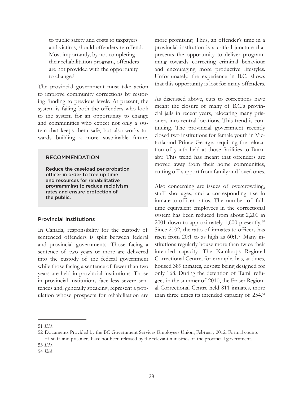to public safety and costs to taxpayers and victims, should offenders re-offend. Most importantly, by not completing their rehabilitation program, offenders are not provided with the opportunity to change.<sup>51</sup>

The provincial government must take action to improve community corrections by restoring funding to previous levels. At present, the system is failing both the offenders who look to the system for an opportunity to change and communities who expect not only a system that keeps them safe, but also works towards building a more sustainable future.

#### RECOMMENDATION

Reduce the caseload per probation officer in order to free up time and resources for rehabilitative programming to reduce recidivism rates and ensure protection of the public.

#### Provincial Institutions

In Canada, responsibility for the custody of sentenced offenders is split between federal and provincial governments. Those facing a sentence of two years or more are delivered into the custody of the federal government while those facing a sentence of fewer than two years are held in provincial institutions. Those in provincial institutions face less severe sentences and, generally speaking, represent a population whose prospects for rehabilitation are more promising. Thus, an offender's time in a provincial institution is a critical juncture that presents the opportunity to deliver programming towards correcting criminal behaviour and encouraging more productive lifestyles. Unfortunately, the experience in B.C. shows that this opportunity is lost for many offenders.

As discussed above, cuts to corrections have meant the closure of many of B.C.'s provincial jails in recent years, relocating many prisoners into central locations. This trend is continuing. The provincial government recently closed two institutions for female youth in Victoria and Prince George, requiring the relocation of youth held at those facilities to Burnaby. This trend has meant that offenders are moved away from their home communities, cutting off support from family and loved ones.

Also concerning are issues of overcrowding, staff shortages, and a corresponding rise in inmate-to-officer ratios. The number of fulltime equivalent employees in the correctional system has been reduced from about 2,200 in 2001 down to approximately 1,600 presently. <sup>52</sup> Since 2002, the ratio of inmates to officers has risen from 20:1 to as high as 60:1.53 Many institutions regularly house more than twice their intended capacity. The Kamloops Regional Correctional Centre, for example, has, at times, housed 389 inmates, despite being designed for only 168. During the detention of Tamil refugees in the summer of 2010, the Fraser Regional Correctional Centre held 811 inmates, more than three times its intended capacity of 254.54

<sup>51</sup> *Ibid.*

<sup>52</sup> Documents Provided by the BC Government Services Employees Union, February 2012. Formal counts of staff and prisoners have not been released by the relevant ministries of the provincial government.

<sup>53</sup> *Ibid.*

<sup>54</sup> *Ibid.*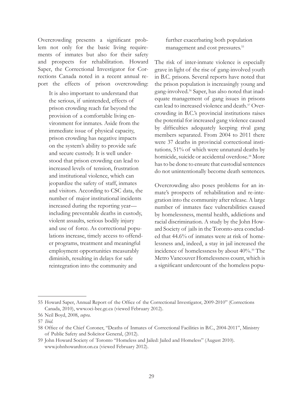Overcrowding presents a significant problem not only for the basic living requirements of inmates but also for their safety and prospects for rehabilitation. Howard Saper, the Correctional Investigator for Corrections Canada noted in a recent annual report the effects of prison overcrowding:

It is also important to understand that the serious, if unintended, effects of prison crowding reach far beyond the provision of a comfortable living environment for inmates. Aside from the immediate issue of physical capacity, prison crowding has negative impacts on the system's ability to provide safe and secure custody. It is well understood that prison crowding can lead to increased levels of tension, frustration and institutional violence, which can jeopardize the safety of staff, inmates and visitors. According to CSC data, the number of major institutional incidents increased during the reporting year including preventable deaths in custody, violent assaults, serious bodily injury and use of force. As correctional populations increase, timely access to offender programs, treatment and meaningful employment opportunities measurably diminish, resulting in delays for safe reintegration into the community and

further exacerbating both population management and cost pressures.55

The risk of inter-inmate violence is especially grave in light of the rise of gang-involved youth in B.C. prisons. Several reports have noted that the prison population is increasingly young and gang-involved.56 Saper, has also noted that inadequate management of gang issues in prisons can lead to increased violence and death.<sup>57</sup> Overcrowding in B.C.'s provincial institutions raises the potential for increased gang violence caused by difficulties adequately keeping rival gang members separated. From 2004 to 2011 there were 37 deaths in provincial correctional institutions, 51% of which were unnatural deaths by homicide, suicide or accidental overdose.<sup>58</sup> More has to be done to ensure that custodial sentences do not unintentionally become death sentences.

Overcrowding also poses problems for an inmate's prospects of rehabilitation and re-integration into the community after release. A large number of inmates face vulnerabilities caused by homelessness, mental health, addictions and racial discrimination. A study by the John Howard Society of jails in the Toronto-area concluded that 44.6% of inmates were at risk of homelessness and, indeed, a stay in jail increased the incidence of homelessness by about 40%.59 The Metro Vancouver Homelessness count, which is a significant undercount of the homeless popu-

<sup>55</sup> Howard Saper, Annual Report of the Office of the Correctional Investigator, 2009-2010" (Corrections Canada, 2010), www.oci-bec.gc.ca (viewed February 2012).

<sup>56</sup> Neil Boyd, 2008, *supra*.

<sup>57</sup> *Ibid.*

<sup>58</sup> Office of the Chief Coroner, "Deaths of Inmates of Correctional Facilities in B.C., 2004-2011", Ministry of Public Safety and Solicitor General, (2012).

<sup>59</sup> John Howard Society of Toronto "Homeless and Jailed: Jailed and Homeless" (August 2010). www.johnhowardtor.on.ca (viewed February 2012).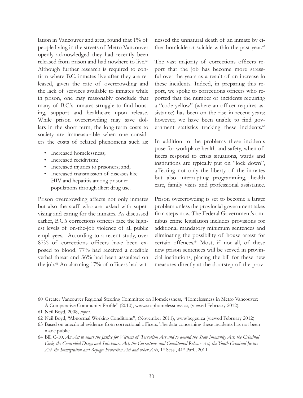lation in Vancouver and area, found that 1% of people living in the streets of Metro Vancouver openly acknowledged they had recently been released from prison and had nowhere to live.<sup>60</sup> Although further research is required to confirm where B.C. inmates live after they are released, given the rate of overcrowding and the lack of services available to inmates while in prison, one may reasonably conclude that many of B.C.'s inmates struggle to find housing, support and healthcare upon release. While prison overcrowding may save dollars in the short term, the long-term costs to society are immeasurable when one considers the costs of related phenomena such as:

- Increased homelessness;
- Increased recidivism;
- Increased injuries to prisoners; and,
- Increased transmission of diseases like HIV and hepatitis among prisoner populations through illicit drug use.

Prison overcrowding affects not only inmates but also the staff who are tasked with supervising and caring for the inmates. As discussed earlier, B.C.'s corrections officers face the highest levels of on-the-job violence of all public employees. According to a recent study, over 87% of corrections officers have been exposed to blood, 77% had received a credible verbal threat and 36% had been assaulted on the job.61 An alarming 17% of officers had witnessed the unnatural death of an inmate by either homicide or suicide within the past year. $62$ 

The vast majority of corrections officers report that the job has become more stressful over the years as a result of an increase in these incidents. Indeed, in preparing this report, we spoke to corrections officers who reported that the number of incidents requiring a "code yellow" (where an officer requires assistance) has been on the rise in recent years; however, we have been unable to find government statistics tracking these incidents.<sup>63</sup>

In addition to the problems these incidents pose for workplace health and safety, when officers respond to crisis situations, wards and institutions are typically put on "lock down", affecting not only the liberty of the inmates but also interrupting programming, health care, family visits and professional assistance.

Prison overcrowding is set to become a larger problem unless the provincial government takes firm steps now. The Federal Government's omnibus crime legislation includes provisions for additional mandatory minimum sentences and eliminating the possibility of house arrest for certain offences.64 Most, if not all, of these new prison sentences will be served in provincial institutions, placing the bill for these new measures directly at the doorstep of the prov-

<sup>60</sup> Greater Vancouver Regional Steering Committee on Homelessness, "Homelessness in Metro Vancouver: A Comparative Community Profile" (2010), www.stophomelessness.ca, (viewed February 2012).

<sup>61</sup> Neil Boyd, 2008, *supra*.

<sup>62</sup> Neil Boyd, "Abnormal Working Conditions", (November 2011), www.bcgeu.ca (viewed February 2012)

<sup>63</sup> Based on anecdotal evidence from correctional officers. The data concerning these incidents has not been made public.

<sup>64</sup> Bill C-10, *An Act to enact the Justice for Victims of Terrorism Act and to amend the State Immunity Act, the Criminal Code, the Controlled Drugs and Substances Act, the Corrections and Conditional Release Act, the Youth Criminal Justice*  Act, the Immigration and Refugee Protection Act and other Acts, 1<sup>st</sup> Sess., 41<sup>st</sup> Parl., 2011.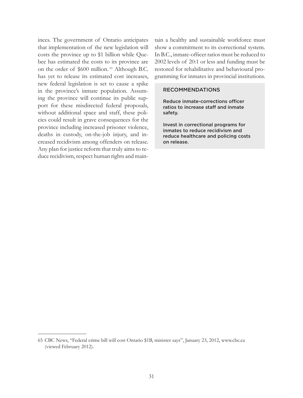inces. The government of Ontario anticipates that implementation of the new legislation will costs the province up to \$1 billion while Quebec has estimated the costs to its province are on the order of \$600 million. 65 Although B.C. has yet to release its estimated cost increases, new federal legislation is set to cause a spike in the province's inmate population. Assuming the province will continue its public support for these misdirected federal proposals, without additional space and staff, these policies could result in grave consequences for the province including increased prisoner violence, deaths in custody, on-the-job injury, and increased recidivism among offenders on release. Any plan for justice reform that truly aims to reduce recidivism, respect human rights and maintain a healthy and sustainable workforce must show a commitment to its correctional system. In B.C., inmate-officer ratios must be reduced to 2002 levels of 20:1 or less and funding must be restored for rehabilitative and behavioural programming for inmates in provincial institutions.

#### RECOMMENDATIONS

Reduce inmate-corrections officer ratios to increase staff and inmate safety.

Invest in correctional programs for inmates to reduce recidivism and reduce healthcare and policing costs on release.

<sup>65</sup> CBC News, "Federal crime bill will cost Ontario \$1B, minister says", January 23, 2012, www.cbc.ca (viewed February 2012).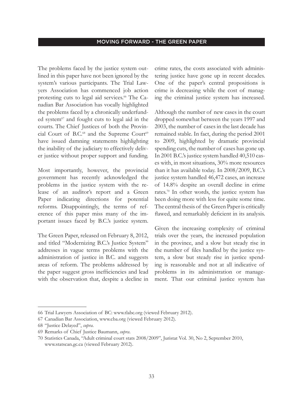#### MOVING FORWARD - THE GREEN PAPER

The problems faced by the justice system outlined in this paper have not been ignored by the system's various participants. The Trial Lawyers Association has commenced job action protesting cuts to legal aid services.<sup>66</sup> The Canadian Bar Association has vocally highlighted the problems faced by a chronically underfunded system<sup>67</sup> and fought cuts to legal aid in the courts. The Chief Justices of both the Provincial Court of B.C. $68$  and the Supreme Court $69$ have issued damning statements highlighting the inability of the judiciary to effectively deliver justice without proper support and funding.

Most importantly, however, the provincial government has recently acknowledged the problems in the justice system with the release of an auditor's report and a Green Paper indicating directions for potential reforms. Disappointingly, the terms of reference of this paper miss many of the important issues faced by B.C.'s justice system.

The Green Paper, released on February 8, 2012, and titled "Modernizing B.C.'s Justice System" addresses in vague terms problems with the administration of justice in B.C. and suggests areas of reform. The problems addressed by the paper suggest gross inefficiencies and lead with the observation that, despite a decline in crime rates, the costs associated with administering justice have gone up in recent decades. One of the paper's central propositions is crime is decreasing while the cost of managing the criminal justice system has increased.

Although the number of new cases in the court dropped somewhat between the years 1997 and 2003, the number of cases in the last decade has remained stable. In fact, during the period 2001 to 2009, highlighted by dramatic provincial spending cuts, the number of cases has gone up. In 2001 B.C.'s justice system handled 40,510 cases with, in most situations, 30% more resources than it has available today. In 2008/2009, B.C.'s justice system handled 46,472 cases, an increase of 14.8% despite an overall decline in crime rates.70 In other words, the justice system has been doing more with less for quite some time. The central thesis of the Green Paper is critically flawed, and remarkably deficient in its analysis.

Given the increasing complexity of criminal trials over the years, the increased population in the province, and a slow but steady rise in the number of files handled by the justice system, a slow but steady rise in justice spending is reasonable and not at all indicative of problems in its administration or management. That our criminal justice system has

<sup>66</sup> Trial Lawyers Association of BC: www.tlabc.org (viewed February 2012).

<sup>67</sup> Canadian Bar Association, www.cba.org (viewed February 2012).

<sup>68</sup> "Justice Delayed", *supra*.

<sup>69</sup> Remarks of Chief Justice Baumann, *supra*.

<sup>70</sup> Statistics Canada, "Adult criminal court stats 2008/2009", Juristat Vol. 30, No 2, September 2010, www.statscan.gc.ca (viewed February 2012).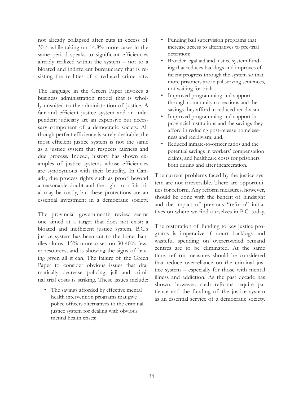not already collapsed after cuts in excess of 30% while taking on 14.8% more cases in the same period speaks to significant efficiencies already realized within the system – not to a bloated and indifferent bureaucracy that is resisting the realities of a reduced crime rate.

The language in the Green Paper invokes a business administration model that is wholly unsuited to the administration of justice. A fair and efficient justice system and an independent judiciary are an expensive but necessary component of a democratic society. Although perfect efficiency is surely desirable, the most efficient justice system is not the same as a justice system that respects fairness and due process. Indeed, history has shown examples of justice systems whose efficiencies are synonymous with their brutality. In Canada, due process rights such as proof beyond a reasonable doubt and the right to a fair trial may be costly, but these protections are an essential investment in a democratic society.

The provincial government's review seems one aimed at a target that does not exist: a bloated and inefficient justice system. B.C.'s justice system has been cut to the bone, handles almost 15% more cases on 30-40% fewer resources, and is showing the signs of having given all it can. The failure of the Green Paper to consider obvious issues that dramatically decrease policing, jail and criminal trial costs is striking. These issues include:

• The savings afforded by effective mental health intervention programs that give police officers alternatives to the criminal justice system for dealing with obvious mental health crises;

- Funding bail supervision programs that increase access to alternatives to pre-trial detention;
- Broader legal aid and justice system funding that reduces backlogs and improves efficient progress through the system so that more prisoners are in jail serving sentences, not waiting for trial;
- Improved programming and support through community corrections and the savings they afford in reduced recidivism;
- Improved programming and support in provincial institutions and the savings they afford in reducing post-release homelessness and recidivism; and,
- Reduced inmate-to-officer ratios and the potential savings in workers' compensation claims, and healthcare costs for prisoners both during and after incarceration.

The current problems faced by the justice system are not irreversible. There are opportunities for reform. Any reform measures, however, should be done with the benefit of hindsight and the impact of previous "reform" initiatives on where we find ourselves in B.C. today.

The restoration of funding to key justice programs is imperative if court backlogs and wasteful spending on overcrowded remand centres are to be eliminated. At the same time, reform measures should be considered that reduce overreliance on the criminal justice system – especially for those with mental illness and addiction. As the past decade has shown, however, such reforms require patience and the funding of the justice system as an essential service of a democratic society.